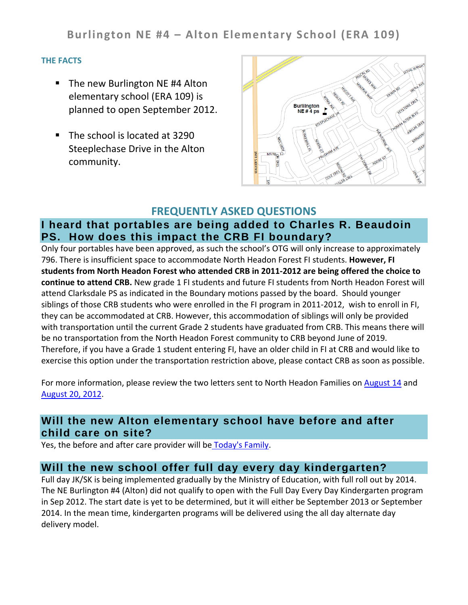**Burlington NE #4 – Alton Elementary School (ERA 109)**

#### **THE FACTS**

- The new Burlington NE #4 Alton elementary school (ERA 109) is planned to open September 2012.
- The school is located at 3290 Steeplechase Drive in the Alton community.



### **FREQUENTLY ASKED QUESTIONS**

# **I heard that portables are being added to Charles R. Beaudoin PS. How does this impact the CRB FI boundary?**

Only four portables have been approved, as such the school's OTG will only increase to approximately 796. There is insufficient space to accommodate North Headon Forest FI students. **However, FI students from North Headon Forest who attended CRB in 2011-2012 are being offered the choice to continue to attend CRB.** New grade 1 FI students and future FI students from North Headon Forest will attend Clarksdale PS as indicated in the Boundary motions passed by the board. Should younger siblings of those CRB students who were enrolled in the FI program in 2011-2012, wish to enroll in FI, they can be accommodated at CRB. However, this accommodation of siblings will only be provided with transportation until the current Grade 2 students have graduated from CRB. This means there will be no transportation from the North Headon Forest community to CRB beyond June of 2019. Therefore, if you have a Grade 1 student entering FI, have an older child in FI at CRB and would like to exercise this option under the transportation restriction above, please contact CRB as soon as possible.

For more information, please review the two letters sent to North Headon Families on [August 14](http://www.hdsb.ca/aboutus/Planning/Reviews/Alton%20ERA%20109%20Docs/CRB%20siblings%20letter-August%202012.pdf) and [August 20, 2012.](http://www.hdsb.ca/aboutus/Planning/Reviews/Alton%20ERA%20109%20Docs/CRB%20siblings%20letter-August%2020%202012.pdf)

## **Will the new Alton elementary school have before and after child care on site?**

Yes, the before and after care provider will be [Today's Family.](http://www.todaysfamily.ca/index.html)

### **Will the new school offer full day every day kindergarten?**

Full day JK/SK is being implemented gradually by the Ministry of Education, with full roll out by 2014. The NE Burlington #4 (Alton) did not qualify to open with the Full Day Every Day Kindergarten program in Sep 2012. The start date is yet to be determined, but it will either be September 2013 or September 2014. In the mean time, kindergarten programs will be delivered using the all day alternate day delivery model.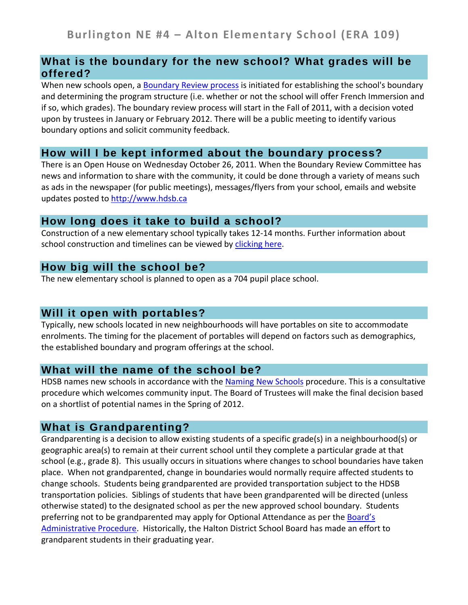### **What is the boundary for the new school? What grades will be offered?**

When new schools open, a [Boundary Review process](http://www.hdsb.ca/Policy/School%20Boundary%20Reviews%202010.pdf) is initiated for establishing the school's boundary and determining the program structure (i.e. whether or not the school will offer French Immersion and if so, which grades). The boundary review process will start in the Fall of 2011, with a decision voted upon by trustees in January or February 2012. There will be a public meeting to identify various boundary options and solicit community feedback.

#### **How will I be kept informed about the boundary process?**

There is an Open House on Wednesday October 26, 2011. When the Boundary Review Committee has news and information to share with the community, it could be done through a variety of means such as ads in the newspaper (for public meetings), messages/flyers from your school, emails and website updates posted to [http://www.hdsb.ca](http://www.hdsb.ca/)

#### **How long does it take to build a school?**

Construction of a new elementary school typically takes 12-14 months. Further information about school construction and timelines can be viewed by [clicking here.](http://www.hdsb.ca/aboutus/FacilityServices/Pages/Construction.aspx)

### **How big will the school be?**

The new elementary school is planned to open as a 704 pupil place school.

### **Will it open with portables?**

Typically, new schools located in new neighbourhoods will have portables on site to accommodate enrolments. The timing for the placement of portables will depend on factors such as demographics, the established boundary and program offerings at the school.

### **What will the name of the school be?**

HDSB names new schools in accordance with the [Naming New Schools](http://www.hdsb.ca/Policy/Naming%20New%20Schools.pdf) procedure. This is a consultative procedure which welcomes community input. The Board of Trustees will make the final decision based on a shortlist of potential names in the Spring of 2012.

### **What is Grandparenting?**

Grandparenting is a decision to allow existing students of a specific grade(s) in a neighbourhood(s) or geographic area(s) to remain at their current school until they complete a particular grade at that school (e.g., grade 8). This usually occurs in situations where changes to school boundaries have taken place. When not grandparented, change in boundaries would normally require affected students to change schools. Students being grandparented are provided transportation subject to the HDSB transportation policies. Siblings of students that have been grandparented will be directed (unless otherwise stated) to the designated school as per the new approved school boundary. Students preferring not to be grandparented may apply for Optional Attendance as per the Board's [Administrative Procedure.](http://www.hdsb.ca/Policy/Optional%20Attendance-2010.pdf) Historically, the Halton District School Board has made an effort to grandparent students in their graduating year.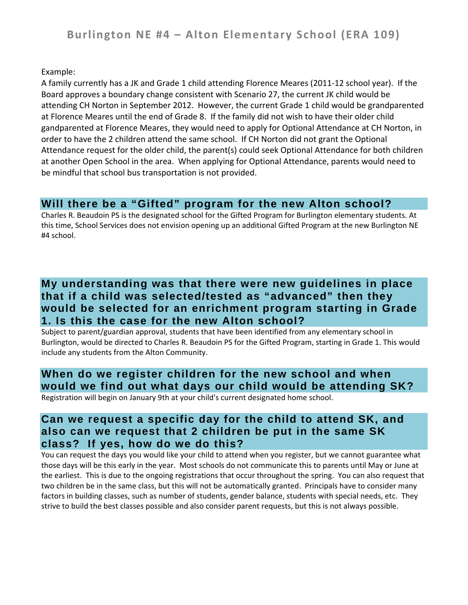Example:

A family currently has a JK and Grade 1 child attending Florence Meares (2011-12 school year). If the Board approves a boundary change consistent with Scenario 27, the current JK child would be attending CH Norton in September 2012. However, the current Grade 1 child would be grandparented at Florence Meares until the end of Grade 8. If the family did not wish to have their older child gandparented at Florence Meares, they would need to apply for Optional Attendance at CH Norton, in order to have the 2 children attend the same school. If CH Norton did not grant the Optional Attendance request for the older child, the parent(s) could seek Optional Attendance for both children at another Open School in the area. When applying for Optional Attendance, parents would need to be mindful that school bus transportation is not provided.

# **Will there be a "Gifted" program for the new Alton school?**

Charles R. Beaudoin PS is the designated school for the Gifted Program for Burlington elementary students. At this time, School Services does not envision opening up an additional Gifted Program at the new Burlington NE #4 school.

# **My understanding was that there were new guidelines in place that if a child was selected/tested as "advanced" then they would be selected for an enrichment program starting in Grade 1. Is this the case for the new Alton school?**

Subject to parent/guardian approval, students that have been identified from any elementary school in Burlington, would be directed to Charles R. Beaudoin PS for the Gifted Program, starting in Grade 1. This would include any students from the Alton Community.

# **When do we register children for the new school and when would we find out what days our child would be attending SK?**

Registration will begin on January 9th at your child's current designated home school.

## **Can we request a specific day for the child to attend SK, and also can we request that 2 children be put in the same SK class? If yes, how do we do this?**

You can request the days you would like your child to attend when you register, but we cannot guarantee what those days will be this early in the year. Most schools do not communicate this to parents until May or June at the earliest. This is due to the ongoing registrations that occur throughout the spring. You can also request that two children be in the same class, but this will not be automatically granted. Principals have to consider many factors in building classes, such as number of students, gender balance, students with special needs, etc. They strive to build the best classes possible and also consider parent requests, but this is not always possible.